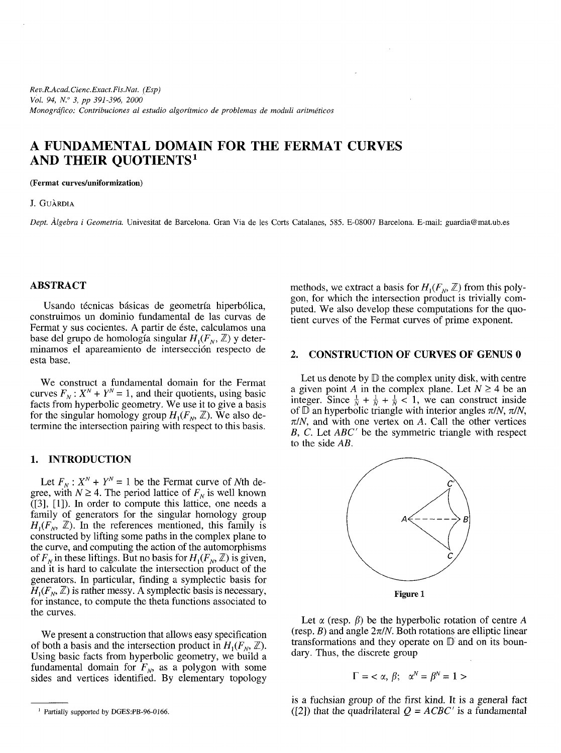# **A FUNDAMENTAL DOMAIN FOR THE FERMAT CURVES AND THEIR QUOTIENTS<sup>1</sup>**

#### **(Fermat curves/uniformization)**

#### J. GUÀRDIA

*Dept. Algebra i Geometria.* Univesitat de Barcelona. Gran Via de les Corts Catalanes, 585. E-08007 Barcelona. E-mail: guardia@mat.ub.es

### **ABSTRACT**

Usando técnicas básicas de geometría hiperbólica, construirnos un dominio fundamental de las curvas de Fermat y sus cocientes. A partir de éste, calculamos una base del grupo de homología singular  $H_1(F_N, \mathbb{Z})$  y determinamos el apareamiento de intersección respecto de esta base.

We construct a fundamental domain for the Fermat curves  $F_N$ :  $X^N + Y^N = 1$ , and their quotients, using basic facts from hyperbolic geometry. We use it to give a basis for the singular homology group  $H_1(F_N, \mathbb{Z})$ . We also determine the intersection pairing with respect to this basis.

## **1. INTRODUCTION**

Let  $F_N$ :  $X^N + Y^N = 1$  be the Fermat curve of Nth degree, with  $N \geq 4$ . The period lattice of  $F_N$  is well known ([3], [1]). In order to compute this lattice, one needs a family of generators for the singular homology group  $H_1(F_N, \mathbb{Z})$ . In the references mentioned, this family is constructed by lifting some paths in the complex plane to the curve, and computing the action of the automorphisms of  $F_N$  in these liftings. But no basis for  $H_1(F_N, \mathbb{Z})$  is given, and it is hard to calculate the intersection product of the generators. In particular, finding a symplectic basis for  $H_1(F_N, \mathbb{Z})$  is rather messy. A symplectic basis is necessary, for instance, to compute the theta functions associated to the curves.

We present a construction that allows easy specification of both a basis and the intersection product in  $H_1(F_0, \mathbb{Z})$ . Using basic facts from hyperbolic geometry, we build a fundamental domain for *FN,* as a polygon with some sides and vertices identified. By elementary topology

methods, we extract a basis for  $H_1(F_N, \mathbb{Z})$  from this polygon, for which the intersection product is trivially computed. We also develop these computations for the quotient curves of the Fermat curves of prime exponent.

#### **2. CONSTRUCTION OF CURVES OF GENUS 0**

Let us denote by  $D$  the complex unity disk, with centre a given point A in the complex plane. Let  $N \geq 4$  be an integer. Since  $\frac{1}{N} + \frac{1}{N} + \frac{1}{N} < 1$ , we can construct inside of  $\mathbb D$  an hyperbolic triangle with interior angles  $\pi/N$ ,  $\pi/N$ ,  $\pi/N$ , and with one vertex on A. Call the other vertices *B, C.* Let *ABC'* be the symmetric triangle with respect to the side *AB.*



**Figure 1**

Let  $\alpha$  (resp.  $\beta$ ) be the hyperbolic rotation of centre A (resp.  $B$ ) and angle  $2\pi/N$ . Both rotations are elliptic linear transformations and they operate on  $D$  and on its boundary. Thus, the discrete group

$$
\Gamma = \langle \alpha, \beta; \alpha^N = \beta^N = 1 \rangle
$$

is a fuchsian group of the first kind. It is a general fact ([2]) that the quadrilateral  $Q = ACBC'$  is a fundamental

<sup>&</sup>lt;sup>1</sup> Partially supported by DGES:PB-96-0166.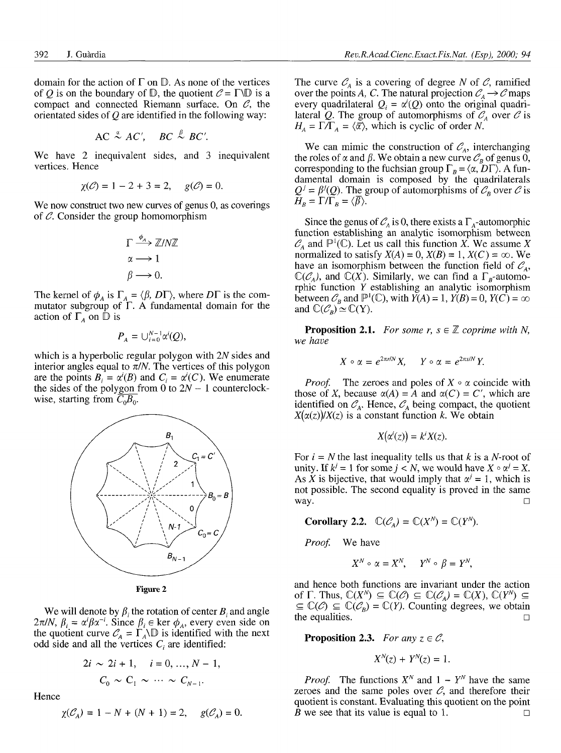domain for the action of  $\Gamma$  on  $\mathbb D$ . As none of the vertices of Q is on the boundary of  $D$ , the quotient  $C = \Gamma \backslash D$  is a compact and connected Riemann surface. On *6,* the orientated sides of *Q* are identified in the following way:

$$
AC \stackrel{\alpha}{\sim} AC', \quad BC \stackrel{\beta}{\sim} BC'.
$$

We have 2 inequivalent sides, and 3 inequivalent vertices. Hence

$$
\chi(\mathcal{C}) = 1 - 2 + 3 = 2
$$
,  $g(\mathcal{C}) = 0$ .

We now construct two new curves of genus 0, as coverings of  $C$ . Consider the group homomorphism

$$
\Gamma \xrightarrow{\phi_A} \mathbb{Z}/N\mathbb{Z}
$$

$$
\alpha \longrightarrow 1
$$

$$
\beta \longrightarrow 0.
$$

The kernel of  $\phi_A$  is  $\Gamma_A = \langle \beta, D\Gamma \rangle$ , where  $D\Gamma$  is the commutator subgroup of F. A fundamental domain for the action of  $\Gamma_A$  on  $\mathbb D$  is

$$
P_A = \bigcup_{i=0}^{N-1} \alpha^i(Q),
$$

which is a hyperbolic regular polygon with *2N* sides and interior angles equal to  $\pi/N$ . The vertices of this polygon are the points  $B_i = \alpha^{i}(B)$  and  $C_i = \alpha^{i}(C)$ . We enumerate the sides of the polygon from 0 to *2N -* 1 counterclockwise, starting from  $\overline{C_0B_0}$ .



**Figure 2**

We will denote by  $\beta_i$  the rotation of center  $B_i$  and angle  $2\pi/N$ ,  $\beta_i = \alpha^i \beta \alpha^{-i}$ . Since  $\beta_i \in \text{ker } \phi_A$ , every even side on the quotient curve  $C_A = \Gamma_A \backslash \mathbb{D}$  is identified with the next odd side and all the vertices  $C_i$  are identified:

$$
2i \sim 2i + 1, \quad i = 0, ..., N - 1,
$$
  

$$
C_0 \sim C_1 \sim \cdots \sim C_{N-1}.
$$

Hence

$$
\chi(\mathcal{C}_A) = 1 - N + (N + 1) = 2, \quad g(\mathcal{C}_A) = 0.
$$

The curve  $C_A$  is a covering of degree N of C, ramified over the points A, C. The natural projection  $C_A \rightarrow C$  maps every quadrilateral  $Q_i = \alpha^i(Q)$  onto the original quadrilateral Q. The group of automorphisms of  $C_A$  over C is  $H_A = \Gamma / \Gamma_A = \langle \overline{\alpha} \rangle$ , which is cyclic of order *N*.

We can mimic the construction of  $\mathcal{C}_A$ , interchanging the roles of  $\alpha$  and  $\beta$ . We obtain a new curve  $\mathcal{C}_B$  of genus 0, corresponding to the fuchsian group  $\Gamma_B = \langle \alpha, D\Gamma \rangle$ . A fundamental domain is composed by the quadrilaterals  $Q^j = \beta^j(Q)$ . The group of automorphisms of  $\mathcal{C}_B$  over  $\mathcal{C}$  is  $H_B = \Gamma/\Gamma_B = \langle \overline{\beta} \rangle.$ 

Since the genus of  $C_A$  is 0, there exists a  $\Gamma_A$ -automorphic function establishing an analytic isomorphism between  $\mathcal{C}_A$  and  $\mathbb{P}^1(\mathbb{C})$ . Let us call this function *X*. We assume *X* normalized to satisfy  $X(A) = 0$ ,  $X(B) = 1$ ,  $X(C) = \infty$ . We have an isomorphism between the function field of  $C_A$ ,  $\mathbb{C}(\mathcal{C}_A)$ , and  $\mathbb{C}(X)$ . Similarly, we can find a  $\Gamma_B$ -automorphic function *Y* establishing an analytic isomorphism between  $\mathcal{C}_B$  and  $\mathbb{P}^1(\mathbb{C})$ , with  $Y(A) = 1$ ,  $Y(B) = 0$ ,  $Y(C) = \infty$ and  $\mathbb{C}(\mathcal{C}_B) \simeq \mathbb{C}(Y)$ .

**Proposition 2.1.** For some r,  $s \in \mathbb{Z}$  coprime with N, we have

$$
X \circ \alpha = e^{2\pi r/N} X, \quad Y \circ \alpha = e^{2\pi s/N} Y.
$$

*Proof.* The zeroes and poles of  $X \circ \alpha$  coincide with those of *X*, because  $\alpha(A) = A$  and  $\alpha(C) = C'$ , which are identified on  $C_A$ . Hence,  $C_A$  being compact, the quotient  $X(\alpha(z))/X(z)$  is a constant function k. We obtain

$$
X(\alpha'(z))=k^iX(z).
$$

For  $i = N$  the last inequality tells us that k is a N-root of unity. If  $k^j = 1$  for some  $j < N$ , we would have  $X \circ \alpha^j = X$ . As X is bijective, that would imply that  $\alpha^{j} = 1$ , which is not possible. The second equality is proved in the same way.  $\Box$ 

**Corollary 2.2.**  $\mathbb{C}(\mathcal{C}_A) = \mathbb{C}(X^N) = \mathbb{C}(Y^N)$ .

*Proof.* We have

$$
X^N \circ \alpha = X^N, \quad Y^N \circ \beta = Y^N,
$$

and hence both functions are invariant under the action of  $\Gamma$ . Thus,  $\mathbb{C}(X^N) \subseteq \mathbb{C}(\mathcal{C}) \subseteq \mathbb{C}(\mathcal{C}_A) = \mathbb{C}(X)$ ,  $\mathbb{C}(Y^N) \subseteq$  $\subseteq \mathbb{C}(\mathcal{C}) \subseteq \mathbb{C}(\mathcal{C}_R) = \mathbb{C}(Y)$ . Counting degrees, we obtain the equalities.  $\Box$ 

**Proposition 2.3.** For any  $z \in C$ ,

$$
X^N(z) + Y^N(z) = 1.
$$

*Proof.* The functions  $X^N$  and  $1 - Y^N$  have the same zeroes and the same poles over  $C$ , and therefore their quotient is constant. Evaluating this quotient on the point *B* we see that its value is equal to 1.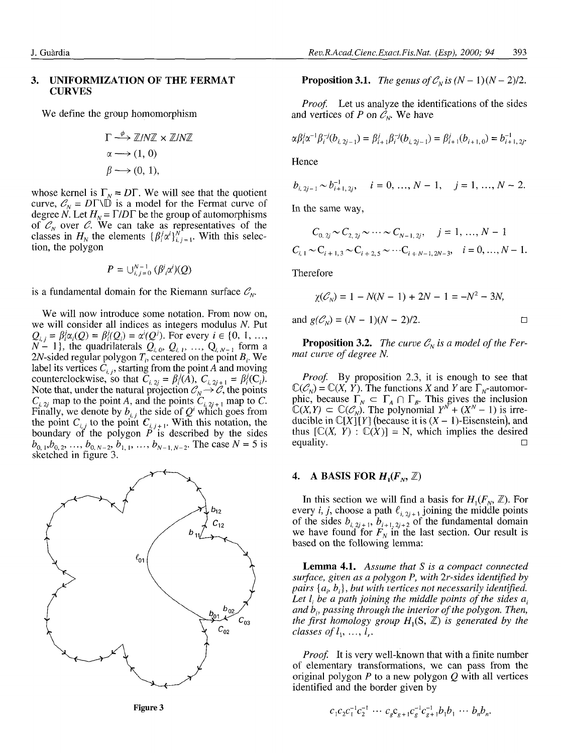#### **3. UNIFORMIZATION OF THE FERMAT CURVES**

We define the group homomorphism

$$
\Gamma \xrightarrow{\phi} \mathbb{Z}/N\mathbb{Z} \times \mathbb{Z}/N\mathbb{Z}
$$

$$
\alpha \longrightarrow (1, 0)
$$

$$
\beta \longrightarrow (0, 1),
$$

whose kernel is  $\Gamma_N = D\Gamma$ . We will see that the quotient curve,  $C_N = D\Gamma\setminus \vec{D}$  is a model for the Fermat curve of degree N. Let  $H_N = \Gamma/D\Gamma$  be the group of automorphisms of  $\mathcal{C}_N$  over  $\mathcal{C}$ . We can take as representatives of the classes in  $H_N$  the elements  $\{\beta_i^j \alpha^i\}_{i,j=1}^N$ . With this selection, the polygon

$$
P=\bigcup_{i,j=0}^{N-1}(\beta^j_i\alpha^i)(Q)
$$

is a fundamental domain for the Riemann surface  $\mathcal{C}_{N}$ .

We will now introduce some notation. From now on, we will consider all indices as integers modulus *N.* Put  $Q_{i,j} = \beta_i^j \alpha_i(Q) = \beta_i^j(Q_i) = \alpha^i(Q^j)$ . For every  $i \in \{0, 1, ..., N-1\}$ , the quadrilaterals  $Q_{i,0}, Q_{i,1}, ..., Q_{i,N-1}$  form a 2W-sided regular polygon *T¡,* centered on the point *B¡.* We label its vertices  $C_{i,j}$ , starting from the point A and moving counterclockwise, so that  $\overline{C}_{i,2j} = \beta_i^j(\overline{A})$ ,  $C_{i,2j+1} = \beta_i^j(C_i)$ . Note that, under the natural projection  $\mathcal{C}_N \rightarrow \mathcal{C}$ , the points  $C_{i, 2i}$  map to the point A, and the points  $C_{i, 2i+1}$  map to C. Finally, we denote by  $b_{i,j}$  the side of  $Q^i$  which goes from the point  $C_{i,j}$  to the point  $C_{i,j+1}$ . With this notation, the boundary of the polygon *P* is described by the sides  $b_{0,1}, b_{0,2}, \ldots, b_{0,N-2}, b_{1,1}, \ldots, b_{N-1,N-2}$ . The case  $N = 5$  is sketched in figure 3.



**Proposition 3.1.** The genus of  $\mathcal{C}_N$  is  $(N-1)(N-2)/2$ .

*Proof.* Let us analyze the identifications of the sides and vertices of *P* on  $\mathcal{C}_N$ . We have

$$
\alpha \beta_i^j \alpha^{-1} \beta_i^{-j} (b_{i, 2j-1}) = \beta_{i+1}^j \beta_i^{-j} (b_{i, 2j-1}) = \beta_{i+1}^j (b_{i+1, 0}) = b_{i+1, 2j}^{-1}.
$$

Hence

$$
b_{i, 2j-1} \sim b_{i+1, 2j}^{-1}
$$
,  $i = 0, ..., N - 1$ ,  $j = 1, ..., N - 2$ .

In the same way,

$$
C_{0,2j} \sim C_{2,2j} \sim \cdots \sim C_{N-1,2j}, \quad j = 1, ..., N-1
$$
  

$$
C_{i,1} \sim C_{i+1,3} \sim C_{i+2,5} \sim \cdots C_{i+N-1,2N-3}, \quad i = 0, ..., N-1.
$$

Therefore

$$
\chi(\mathcal{C}_N) = 1 - N(N - 1) + 2N - 1 = -N^2 - 3N,
$$
  
and  $g(\mathcal{C}_N) = (N - 1)(N - 2)/2.$ 

**Proposition 3.2.** The curve  $C_N$  is a model of the Fer*mat curve of degree N.*

*Proof.* By proposition 2.3, it is enough to see that  $\mathbb{C}(\mathcal{C}_N) = \mathbb{C}(X, Y)$ . The functions X and Y are  $\Gamma_N$ -automorphic, because  $\Gamma_N \subset \Gamma_A \cap \Gamma_B$ . This gives the inclusion  $\mathbb{C}(X,Y) \subset \mathbb{C}(\mathcal{C}_N)$ . The polynomial  $Y^N + (X^N - 1)$  is irreducible in  $\mathbb{C}[X][Y]$  (because it is  $(X - 1)$ -Eisenstein), and thus  $[\mathbb{C}(X, Y) : \mathbb{C}(X)] = N$ , which implies the desired equality.  $\Box$ 

### **4.** A BASIS FOR  $H_1(F_\text{N}, \mathbb{Z})$

In this section we will find a basis for  $H_1(F_N, \mathbb{Z})$ . For every *i*, *j*, choose a path  $\ell_{i, 2j + 1}$  joining the middle points of the sides  $b_{i, 2j+1}$ ,  $b_{i+1, 2j+2}$  of the fundamental domain we have found for  $F<sub>N</sub>$  in the last section. Our result is based on the following lemma:

**Lemma 4.1.** *Assume that S is a compact connected surface, given as a polygon P, with 2r-sides identified by pairs [a¡, b¡], but with vertices not necessarily identified.* Let  $l_i$  be a path joining the middle points of the sides  $a_i$ *and b¡, passing through the interior of the polygon. Then, the first homology group*  $H_1(S, \mathbb{Z})$  *is generated by the*  $classes$  of  $l_1, ..., l_r$ .

*Proof.* It is very well-known that with a finite number of elementary transformations, we can pass from the original polygon *P* to a new polygon *Q* with all vertices identified and the border given by

Figure 3 
$$
c_1 c_2 c_1^{-1} c_2^{-1} \cdots c_s c_{g+1} c_g^{-1} c_{g+1}^{-1} b_1 b_1 \cdots b_n b_n.
$$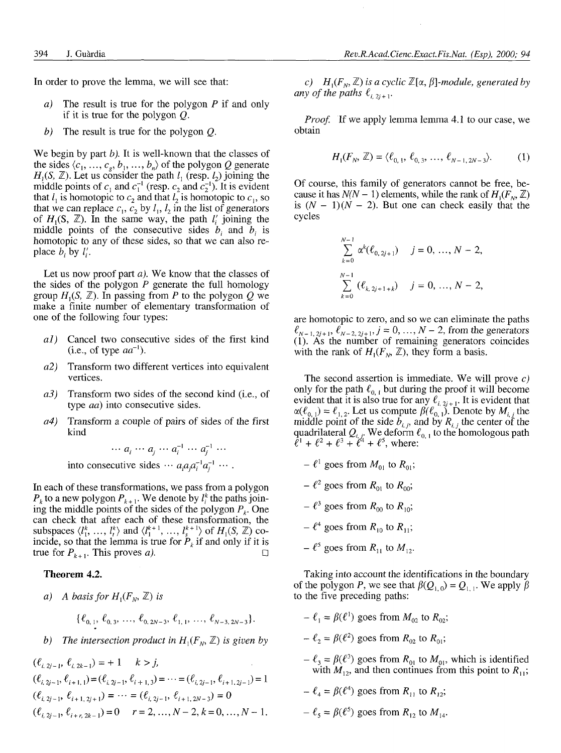In order to prove the lemma, we will see that:

- *a)* The result is true for the polygon *P* if and only if it is true for the polygon *Q.*
- *b)* The result is true for the polygon *Q.*

We begin by part *b).* It is well-known that the classes of the sides  $\langle c_1, ..., c_g, b_1, ..., b_n \rangle$  of the polygon *Q* generate  $H_1(S, \mathbb{Z})$ . Let us consider the path  $l_1$  (resp.  $l_2$ ) joining the middle points of  $c_1$  and  $c_1^{-1}$  (resp.  $c_2$  and  $c_2^{-1}$ ). It is evident that  $l_1$  is homotopic to  $c_2$  and that  $l_2$  is homotopic to  $c_1$ , so that we can replace  $c_1$ ,  $c_2$  by  $l_1$ ,  $l_2$  in the list of generators of  $H_1(S, \mathbb{Z})$ . In the same way, the path  $l'_i$  joining the middle points of the consecutive sides *b¡* and *b¡* is homotopic to any of these sides, so that we can also replace  $b_i$  by  $l'_i$ .

Let us now proof part *a).* We know that the classes of the sides of the polygon *P* generate the full homology group  $H_1(S, \mathbb{Z})$ . In passing from P to the polygon Q we make a finite number of elementary transformation of one of the following four types:

- *al)* Cancel two consecutive sides of the first kind  $(i.e., of type  $aa^{-1}$ ).$
- *a2)* Transform two different vertices into equivalent vertices.
- *a3)* Transform two sides of the second kind (i.e., of type *ad)* into consecutive sides.
- *a4)* Transform a couple of pairs of sides of the first kind

 $\cdots a_i \cdots a_j \cdots a_i^{-1} \cdots a_i^{-1} \cdots$ 

into consecutive sides  $\cdots a_i a_j a_i^{-1} a_j^{-1}$ 

In each of these transformations, we pass from a polygon  $P_k$  to a new polygon  $P_{k+1}$ . We denote by  $l_i^k$  the paths joining the middle points of the sides of the polygon  $P_k$ . One can check that after each of these transformation, the subspaces  $\langle l_1^k, \ldots, l_r^k \rangle$  and  $\langle l_1^{k+1}, \ldots, l_s^{k+1} \rangle$  of  $H_1(S, \mathbb{Z})$  coincide, so that the lemma is true for  $P_k$  if and only if it is true for  $P_{k+1}$ . This proves *a*).

#### **Theorem 4.2.**

*a*) A basis for  $H_1(F_N, \mathbb{Z})$  is

$$
\{\ell_{0,1},\,\ell_{0,3},\,\ldots,\,\ell_{0,2N-3},\,\ell_{1,1},\,\ldots,\,\ell_{N-3,2N-3}\}.
$$

*b)* The intersection product in  $H_1(F_N, \mathbb{Z})$  is given by

$$
(\ell_{i, 2j-1}, \ell_{i, 2k-1}) = +1 \t k > j,
$$
  
\n
$$
(\ell_{i, 2j-1}, \ell_{i+1, 1}) = (\ell_{i, 2j-1}, \ell_{i+1, 3}) = \dots = (\ell_{i, 2j-1}, \ell_{i+1, 2j-1}) = 1
$$
  
\n
$$
(\ell_{i, 2j-1}, \ell_{i+1, 2j+1}) = \dots = (\ell_{i, 2j-1}, \ell_{i+1, 2N-3}) = 0
$$
  
\n
$$
(\ell_{i, 2j-1}, \ell_{i+r, 2k-1}) = 0 \t r = 2, \dots, N-2, k = 0, \dots, N-1.
$$

c)  $H_1(F_N, \mathbb{Z})$  is a cyclic  $\mathbb{Z}[\alpha, \beta]$ -module, generated by *any of the paths*  $\ell_{i,2j+1}$ *.* 

*Proof.* If we apply lemma lemma 4.1 to our case, we obtain

$$
H_1(F_N, \mathbb{Z}) = \langle \ell_{0,1}, \ell_{0,3}, \dots, \ell_{N-1, 2N-3} \rangle.
$$
 (1)

Of course, this family of generators cannot be free, because it has  $N(N - 1)$  elements, while the rank of  $H_1(F_N, \mathbb{Z})$ is  $(N - 1)(N - 2)$ . But one can check easily that the cycles

$$
\sum_{k=0}^{N-1} \alpha^{k}(\ell_{0,2j+1}) \quad j=0, ..., N-2,
$$
  

$$
\sum_{k=0}^{N-1} (\ell_{k,2j+1+k}) \quad j=0, ..., N-2,
$$

are homotopic to zero, and so we can eliminate the paths  $\ell_{N-1,2j+1}, \ell_{N-2,2j+1}$ ,  $j = 0, ..., N-2$ , from the generators (1). As the number of remaining generators coincides with the rank of  $H_1(F_N, \mathbb{Z})$ , they form a basis.

The second assertion is immediate. We will prove *c)* only for the path  $\ell_{0,1}$  but during the proof it will become evident that it is also true for any  $\ell_{i,2i+1}$ . It is evident that  $\alpha(\ell_{0,1}) = \ell_{1,2}$ . Let us compute  $\beta(\ell_{0,1})$ . Denote by  $M_{i,j}$  the middle point of the side  $b_{i,j}$ , and by  $R_{i,j}$  the center of the quadrilateral  $Q_{i,i}$ . We deform  $\ell_{0,\,1}$  to the homologous path  $\ell^{1} + \ell^{2} + \ell^{3} + \ell^{4} + \ell^{5}$ , where:

- $\ell^1$  goes from  $M_{01}$  to  $R_{01}$ ;
- $\ell^2$  goes from  $R_{01}$  to  $R_{00}$ ;
- $\ell^3$  goes from  $R_{00}$  to  $R_{10}$ ;
- $\ell^4$  goes from  $R_{10}$  to  $R_{11}$ ;
- $\ell^5$  goes from  $R_{11}$  to  $M_{12}$ .

Taking into account the identifications in the boundary of the polygon *P*, we see that  $\beta(Q_{1,0}) = Q_{1,1}$ . We apply  $\beta$ to the five preceding paths:

- $-\ell_1 = \beta(\ell^1)$  goes from  $M_{02}$  to  $R_{02}$ ;
- $-\ell_2 = \beta(\ell^2)$  goes from  $R_{02}$  to  $R_{01}$ ;
- $-\ell_3 = \beta(\ell^3)$  goes from  $R_{01}$  to  $M_{01}$ , which is identified with  $M_{12}$ , and then continues from this point to  $R_{11}$ ;
- $-\ell_4 = \beta(\ell^4)$  goes from  $R_{11}$  to  $R_{12}$ ;
- $-\ell_5 = \beta(\ell^5)$  goes from  $R_{12}$  to  $M_{14}$ .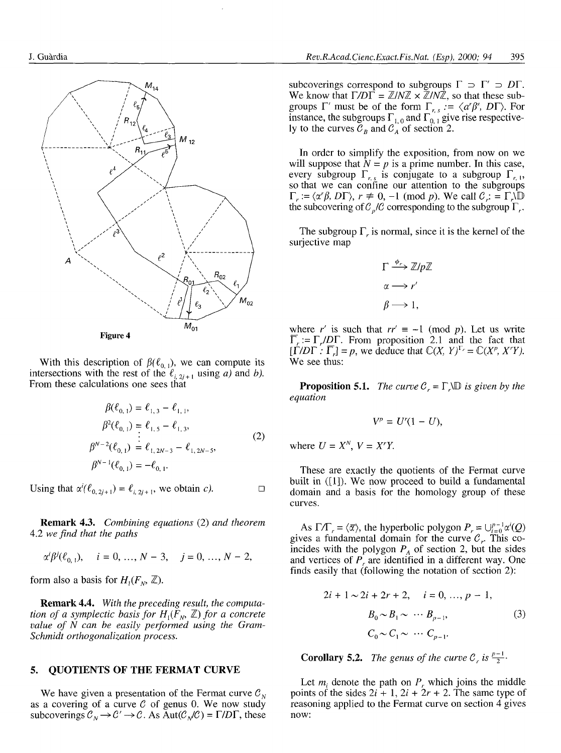

With this description of  $\beta(\ell_{0,1})$ , we can compute its intersections with the rest of the  $\ell_{i,2j+1}$  using *a*) and *b*). From these calculations one sees that

$$
\beta(\ell_{0,1}) = \ell_{1,3} - \ell_{1,1},
$$
\n
$$
\beta^2(\ell_{0,1}) = \ell_{1,5} - \ell_{1,3},
$$
\n
$$
\beta^{N-2}(\ell_{0,1}) = \ell_{1,2N-3} - \ell_{1,2N-5},
$$
\n
$$
\beta^{N-1}(\ell_{0,1}) = -\ell_{0,1}.
$$
\n(2)

Using that  $\alpha^i(\ell_{0,2j+1}) = \ell_{i,2j+1}$ , we obtain *c*).  $\Box$ 

**Remark 4.3.** *Combining equations* (2) and *theorem* 4.2 we find that the paths

$$
\alpha^i\beta^j(\ell_{0,1}), \quad i = 0, ..., N-3, \quad j = 0, ..., N-2,
$$

form also a basis for  $H_1(F_0, \mathbb{Z})$ .

Remark 4.4. With the preceding result, the computa*tion of a symplectic basis for*  $H_1(F_0, \mathbb{Z})$  *for a concrete value of N can be easily performed using the Gram-Schmidt orthogonalization process.*

### **5. QUOTIENTS OF THE FERMAT CURVE**

We have given a presentation of the Fermat curve  $\mathcal{C}_N$ as a covering of a curve *C* of genus 0. We now study subcoverings  $C_N \to C' \to C$ . As  $\text{Aut}(C_N/C) = \Gamma/D\Gamma$ , these

subcoverings correspond to subgroups  $\Gamma \supset \Gamma' \supset D\Gamma$ . We know that  $\Gamma/D\Gamma = \mathbb{Z}/N\mathbb{Z} \times \mathbb{Z}/N\mathbb{Z}$ , so that these subgroups  $\Gamma'$  must be of the form  $\Gamma_{r,s}$   $:= \langle a'\beta^s, D\Gamma \rangle$ . For instance, the subgroups  $\Gamma_{1,0}$  and  $\Gamma_{0,1}$  give rise respectively to the curves  $\mathcal{C}_B$  and  $\mathcal{C}_A$  of section 2.

In order to simplify the exposition, from now on we will suppose that  $N = p$  is a prime number. In this case, every subgroup  $\Gamma_{r,s}$  is conjugate to a subgroup  $\Gamma_{r,s}$ so that we can confine our attention to the subgroups  $\Gamma_r := \langle \alpha^r \beta, D\Gamma \rangle, r \neq 0, -1 \pmod{p}$ . We call  $C_r := \Gamma_r \backslash \mathbb{D}$ the subcovering of  $C_p/C$  corresponding to the subgroup  $\Gamma_r$ .

The subgroup  $\Gamma$ <sub>*r*</sub> is normal, since it is the kernel of the surjective map

$$
\Gamma \xrightarrow{\phi_r} \mathbb{Z}/p\mathbb{Z}
$$

$$
\alpha \longrightarrow r'
$$

$$
\beta \longrightarrow 1,
$$

where r' is such that  $rr' \equiv -1 \pmod{p}$ . Let us write  $\overline{\Gamma}_r := \Gamma_r / D \Gamma$ . From proposition 2.1 and the fact that  $[\Gamma/DT : \overline{\Gamma}_r] = p$ , we deduce that  $\mathbb{C}(X, Y)^{\Gamma_r} = \mathbb{C}(X^p, X^rY)$ . We see thus:

**Proposition 5.1.** *The curve*  $C_r = \Gamma_r \Box$  *is given by the equation*

$$
V^p = U^r(1-U),
$$

where  $U = X^N$ ,  $V = X^rY$ .

These are exactly the quotients of the Fermat curve built in  $([1])$ . We now proceed to build a fundamental domain and a basis for the homology group of these curves.

As  $\Gamma/\Gamma_r = \langle \overline{\alpha} \rangle$ , the hyperbolic polygon  $P_r = \bigcup_{i=0}^{p-1} \alpha^i(Q)$ gives a fundamental domain for the curve  $C_r$ . This coincides with the polygon  $P_A$  of section 2, but the sides and vertices of  $P_r$  are identified in a different way. One finds easily that (following the notation of section 2):

$$
2i + 1 \sim 2i + 2r + 2, \quad i = 0, ..., p - 1,
$$
  
\n
$$
B_0 \sim B_1 \sim \cdots B_{p-1},
$$
  
\n
$$
C_0 \sim C_1 \sim \cdots C_{p-1}.
$$
  
\n(3)

**Corollary 5.2.** The genus of the curve  $C_r$  is  $\frac{p-1}{2}$ .

Let  $m_i$  denote the path on  $P_r$  which joins the middle points of the sides  $2i + 1$ ,  $2i + 2r + 2$ . The same type of reasoning applied to the Fermat curve on section 4 gives now: